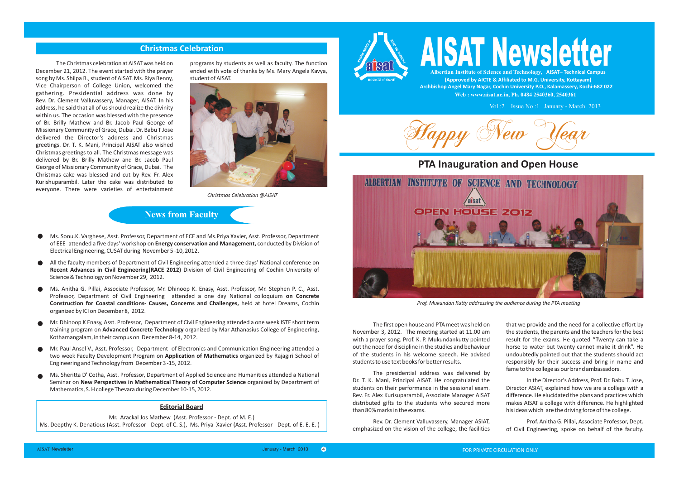### **Christmas Celebration**

The Christmas celebration at AISAT was held on December 21, 2012. The event started with the prayer song by Ms. Shilpa B., student of AISAT. Ms. Riya Benny, Vice Chairperson of College Union, welcomed the gathering. Presidential address was done by Rev. Dr. Clement Valluvassery, Manager, AISAT. In his address, he said that all of us should realize the divinity within us. The occasion was blessed with the presence of Br. Brilly Mathew and Br. Jacob Paul George of Missionary Community of Grace, Dubai. Dr. Babu T Jose delivered the Director's address and Christmas greetings. Dr. T. K. Mani, Principal AISAT also wished Christmas greetings to all. The Christmas message was delivered by Br. Brilly Mathew and Br. Jacob Paul George of Missionary Community of Grace, Dubai. The Christmas cake was blessed and cut by Rev. Fr. Alex Kurishuparambil. Later the cake was distributed to everyone. There were varieties of entertainment programs by students as well as faculty. The function ended with vote of thanks by Ms. Mary Angela Kavya, student of AISAT.



*Christmas Celebration @AISAT*

## **News from Faculty**

- Ms. Sonu.K. Varghese, Asst. Professor, Department of ECE and Ms.Priya Xavier, Asst. Professor, Department of EEE attended a five days' workshop on **Energy conservation and Management,** conducted by Division of Electrical Engineering, CUSAT during November 5 -10, 2012.
- All the faculty members of Department of Civil Engineering attended a three days' National conference on **Recent Advances in Civil Engineering(RACE 2012)** Division of Civil Engineering of Cochin University of Science & Technology on November 29, 2012.
- Ms. Anitha G. Pillai, Associate Professor, Mr. Dhinoop K. Enasy, Asst. Professor, Mr. Stephen P. C., Asst. Professor, Department of Civil Engineering attended a one day National colloquium **on Concrete Construction for Coastal conditions- Causes, Concerns and Challenges,** held at hotel Dreams, Cochin organized by ICI on December 8, 2012.
- Mr. Dhinoop K Enasy, Asst. Professor, Department of Civil Engineering attended a one week ISTE short term training program on **Advanced Concrete Technology** organized by Mar Athanasius College of Engineering, Kothamangalam, in their campus on December 8-14 , 2012.
- Mr. Paul Ansel V., Asst. Professor, Department of Electronics and Communication Engineering attended a two week Faculty Development Program on **Application of Mathematics** organized by Rajagiri School of Engineering and Technology from December 3 -15, 2012.
- Ms. Sheritta D' Cotha, Asst. Professor, Department of Applied Science and Humanities attended a National Seminar on **New Perspectives in Mathematical Theory of Computer Science** organized by Department of Mathematics, S. H college Thevara during December 10-15, 2012.

### **Editorial Board**

#### Mr. Arackal Jos Mathew (Asst. Professor - Dept. of M. E.)

Ms. Deepthy K. Denatious (Asst. Professor - Dept. of C. S.), Ms. Priya Xavier (Asst. Professor - Dept. of E. E. E. )



# **AISAT Newsletter**

**Albertian Institute of Science and Technology, AISAT– Technical Campus (Approved by AICTE & Affiliated to M.G. University, Kottayam) Archbishop Angel Mary Nagar, Cochin University P.O., Kalamassery, Kochi-682 022 Web : www.aisat.ac.in, Ph. 0484 2540360, 2540361**

Vol :2 Issue No :1 January - March 2013

Happy New Year

# **PTA Inauguration and Open House**



*Prof. Mukundan Kutty addressing the audience during the PTA meeting*

The first open house and PTA meet was held on November 3, 2012. The meeting started at 11.00 am with a prayer song. Prof. K. P. Mukundankutty pointed out the need for discipline in the studies and behaviour of the students in his welcome speech. He advised students to use text books for better results.

The presidential address was delivered by Dr. T. K. Mani, Principal AISAT. He congratulated the students on their performance in the sessional exam. Rev. Fr. Alex Kurisuparambil, Associate Manager AISAT distributed gifts to the students who secured more than 80% marks in the exams.

Rev. Dr. Clement Valluvassery, Manager ASIAT, emphasized on the vision of the college, the facilities that we provide and the need for a collective effort by the students, the parents and the teachers for the best result for the exams. He quoted "Twenty can take a horse to water but twenty cannot make it drink". He undoubtedly pointed out that the students should act responsibly for their success and bring in name and fame to the college as our brand ambassadors.

In the Director's Address, Prof. Dr. Babu T. Jose, Director ASIAT, explained how we are a college with a difference. He elucidated the plans and practices which makes AISAT a college with difference. He highlighted his ideas which are the driving force of the college.

Prof. Anitha G. Pillai, Associate Professor, Dept. of Civil Engineering, spoke on behalf of the faculty.

4

FOR PRIVATE CIRCULATION ONLY